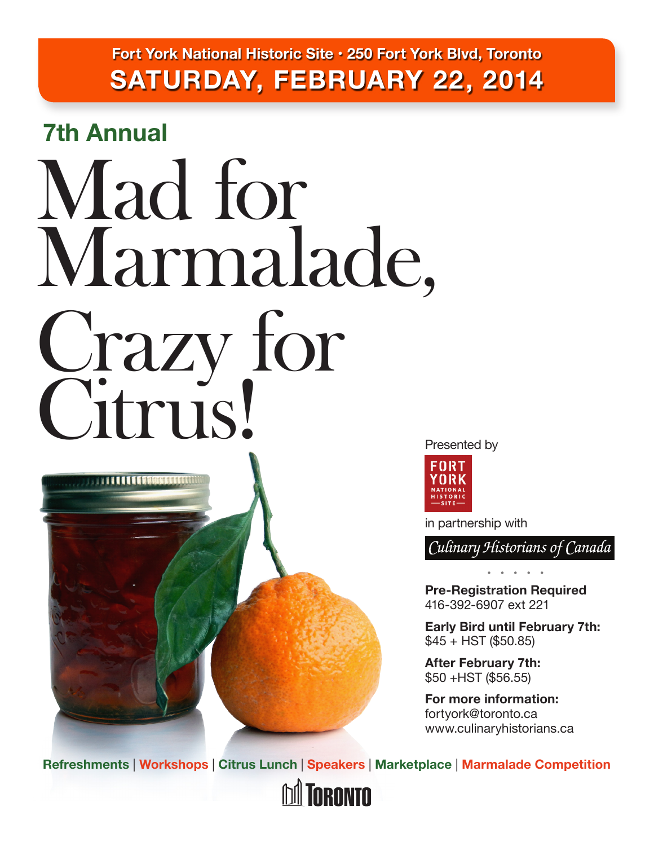**Fort York National Historic Site • 250 Fort York Blvd, Toronto SATURDAY, FEBRUARY 22, 2014**

**7th Annual**

**STATION CONTROL** 

# Mad for Marmalade, Crazy for Citrus!





in partnership with

Culinary Historians of Canada

**Pre-Registration Required** 416-392-6907 ext 221

 **• • • • •** 

**Early Bird until February 7th:**   $$45 + HST$  (\$50.85)

**After February 7th:**  \$50 +HST (\$56.55)

**For more information:** fortyork@toronto.ca [www.culinaryhistorians.ca](http://www.culinaryhistorians.ca)

**Refreshments** | **Workshops** | **Citrus Lunch** | **Speakers** | **Marketplace** | **Marmalade Competition**

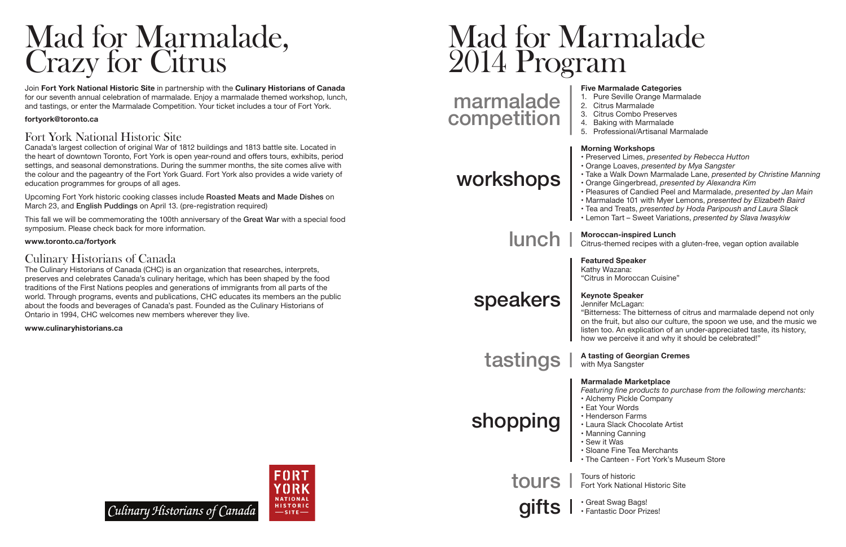## Mad for Marmalade, Crazy for Citrus

Join **Fort York National Historic Site** in partnership with the **Culinary Historians of Canada** for our seventh annual celebration of marmalade. Enjoy a marmalade themed workshop, lunch, and tastings, or enter the Marmalade Competition. Your ticket includes a tour of Fort York.

Canada's largest collection of original War of 1812 buildings and 1813 battle site. Located in the heart of downtown Toronto, Fort York is open year-round and offers tours, exhibits, period settings, and seasonal demonstrations. During the summer months, the site comes alive with the colour and the pageantry of the Fort York Guard. Fort York also provides a wide variety of education programmes for groups of all ages.

#### **fortyork@toronto.ca**

### Fort York National Historic Site

# Mad for Marmalade 2014 Program

Upcoming Fort York historic cooking classes include Roasted Meats and Made Dishes on March 23, and English Puddings on April 13. (pre-registration required)

This fall we will be commemorating the 100th anniversary of the Great War with a special food symposium. Please check back for more information.

#### **[www.toronto.ca/fortyork](http://www.toronto.ca/fortyork)**

### Culinary Historians of Canada

The Culinary Historians of Canada (CHC) is an organization that researches, interprets, preserves and celebrates Canada's culinary heritage, which has been shaped by the food traditions of the First Nations peoples and generations of immigrants from all parts of the world. Through programs, events and publications, CHC educates its members an the public about the foods and beverages of Canada's past. Founded as the Culinary Historians of Ontario in 1994, CHC welcomes new members wherever they live.

**[www.culinaryhistorians.ca](http://www.culinaryhistorians.ca)**

#### **Five Marmalade Categories**

1. Pure Seville Orange Marmalade 2. Citrus Marmalade 3. Citrus Combo Preserves 4. Baking with Marmalade 5. Professional/Artisanal Marmalade

- 
- 
- 
- 

#### **Morning Workshops**

- 
- 
- 
- 
- 
- 
- 

• Preserved Limes, *presented by Rebecca Hutton* • Orange Loaves, *presented by Mya Sangster* • Take a Walk Down Marmalade Lane, *presented by Christine Manning* • Orange Gingerbread, *presented by Alexandra Kim* • Pleasures of Candied Peel and Marmalade, *presented by Jan Main* • Marmalade 101 with Myer Lemons, *presented by Elizabeth Baird* • Tea and Treats, *presented by Hoda Paripoush and Laura Slack* • Lemon Tart – Sweet Variations, *presented by Slava Iwasykiw*

#### **Moroccan-inspired Lunch**

Citrus-themed recipes with a gluten-free, vegan option available

**Featured Speaker** Kathy Wazana: "Citrus in Moroccan Cuisine"

## **Keynote Speaker** Jennifer McLagan:

"Bitterness: The bitterness of citrus and marmalade depend not only on the fruit, but also our culture, the spoon we use, and the music we listen too. An explication of an under-appreciated taste, its history, how we perceive it and why it should be celebrated!"

#### **A tasting of Georgian Cremes**  with Mya Sangster

#### **Marmalade Marketplace**

*Featuring fine products to purchase from the following merchants:* • Alchemy Pickle Company • Eat Your Words • Henderson Farms • Laura Slack Chocolate Artist • Manning Canning • Sew it Was • Sloane Fine Tea Merchants • The Canteen - Fort York's Museum Store

- 
- 
- 
- 
- 
- 
- 

Tours of historic Fort York National Historic Site

• Great Swag Bags!



Culinary Historians of Canada

• Fantastic Door Prizes!

## marmalade competition

workshops

lunch

speakers

tastings

shopping

tours

gifts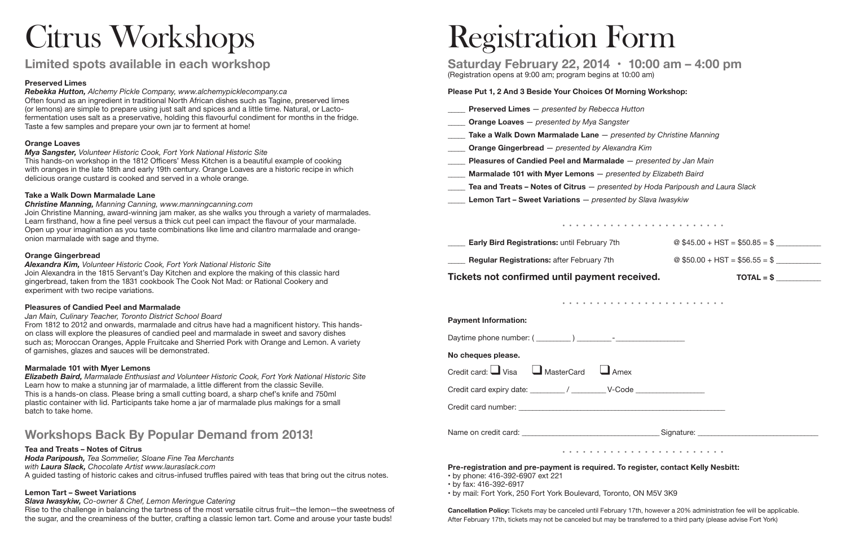# Citrus Workshops

### **Limited spots available in each workshop**

#### **Preserved Limes**

*Rebekka Hutton, Alchemy Pickle Company, [www.alchemypicklecompany.ca](http://www.alchemypicklecompany.ca)* Often found as an ingredient in traditional North African dishes such as Tagine, preserved limes (or lemons) are simple to prepare using just salt and spices and a little time. Natural, or Lactofermentation uses salt as a preservative, holding this flavourful condiment for months in the fridge. Taste a few samples and prepare your own jar to ferment at home!

#### **Orange Loaves**

*Mya Sangster, Volunteer Historic Cook, Fort York National Historic Site* This hands-on workshop in the 1812 Officers' Mess Kitchen is a beautiful example of cooking with oranges in the late 18th and early 19th century. Orange Loaves are a historic recipe in which delicious orange custard is cooked and served in a whole orange.

#### **Take a Walk Down Marmalade Lane**

*Christine Manning, Manning Canning, [www.manningcanning.com](http://www.manningcanning.com)* Join Christine Manning, award-winning jam maker, as she walks you through a variety of marmalades. Learn firsthand, how a fine peel versus a thick cut peel can impact the flavour of your marmalade. Open up your imagination as you taste combinations like lime and cilantro marmalade and orangeonion marmalade with sage and thyme.

#### **Orange Gingerbread**

*Alexandra Kim, Volunteer Historic Cook, Fort York National Historic Site* Join Alexandra in the 1815 Servant's Day Kitchen and explore the making of this classic hard gingerbread, taken from the 1831 cookbook The Cook Not Mad: or Rational Cookery and experiment with two recipe variations.

#### **Pleasures of Candied Peel and Marmalade**

*Jan Main, Culinary Teacher, Toronto District School Board*

From 1812 to 2012 and onwards, marmalade and citrus have had a magnificent history. This handson class will explore the pleasures of candied peel and marmalade in sweet and savory dishes such as; Moroccan Oranges, Apple Fruitcake and Sherried Pork with Orange and Lemon. A variety of garnishes, glazes and sauces will be demonstrated.

#### **Marmalade 101 with Myer Lemons**

| <b>Payment Information:</b>                               |
|-----------------------------------------------------------|
|                                                           |
| No cheques please.                                        |
| Credit card: $\Box$ Visa $\Box$ MasterCard<br>$\Box$ Amex |
|                                                           |
|                                                           |
|                                                           |

*Elizabeth Baird, Marmalade Enthusiast and Volunteer Historic Cook, Fort York National Historic Site* Learn how to make a stunning jar of marmalade, a little different from the classic Seville. This is a hands-on class. Please bring a small cutting board, a sharp chef's knife and 750ml plastic container with lid. Participants take home a jar of marmalade plus makings for a small batch to take home.

### **Workshops Back By Popular Demand from 2013!**

#### **Tea and Treats – Notes of Citrus**

*Hoda Paripoush, Tea Sommelier, Sloane Fine Tea Merchants with Laura Slack, Chocolate Artist www.lauraslack.com*  A guided tasting of historic cakes and citrus-infused truffles paired with teas that bring out the citrus notes.

#### **Lemon Tart – Sweet Variations**

*Slava Iwasykiw, Co-owner & Chef, Lemon Meringue Catering*

Rise to the challenge in balancing the tartness of the most versatile citrus fruit—the lemon—the sweetness of the sugar, and the creaminess of the butter, crafting a classic lemon tart. Come and arouse your taste buds!

# Registration Form

#### **Saturday February 22, 2014 • 10:00 am – 4:00 pm** (Registration opens at 9:00 am; program begins at 10:00 am)

#### **Please Put 1, 2 And 3 Beside Your Choices Of Morning Workshop:**

- **Preserved Limes**  *presented by Rebecca*
- **Orange Loaves**  *presented by Mya Sangsterrangst*
- **Take a Walk Down Marmalade Lane** *pre*
- **\_\_\_\_\_ Orange Gingerbread** *presented by Alexandren*
- \_\_\_\_\_ **Pleasures of Candied Peel and Marmalade** *presented by Jan Main*
- **Marmalade 101 with Myer Lemons** *presented presented by Elizabeth Bairmalade 101 with Myer Lemons*
- **Tea and Treats Notes of Citrus** *present*
- **Lemon Tart Sweet Variations** *presented*

•

**Early Bird Registrations:** until February 7th  $\textcircled{ }$  \$45.00 + HST = \$50.85 = \$

**Regular Registrations:** after February 7th  $\textcircled{ }$  \$50.00 + HST = \$56.55 = \$

#### Tickets not confirmed until payment received. TOTAL = \$

•

•

**Pre‐registration and pre‐payment is required. To register, contact Kelly Nesbitt:**

- by phone: 416‐392‐6907 ext 221
- by fax: 416‐392‐6917
- by mail: Fort York, 250 Fort York Boulevard, Toronto, ON M5V 3K9

**Cancellation Policy:** Tickets may be canceled until February 17th, however a 20% administration fee will be applicable. After February 17th, tickets may not be canceled but may be transferred to a third party (please advise Fort York)

| Hutton                                |
|---------------------------------------|
| ter                                   |
| sented by Christine Manning           |
| ndra Kim                              |
| <b>e</b> — presented by Jan Main      |
| ented by Elizabeth Baird              |
| ted by Hoda Paripoush and Laura Slack |
| d by Slava Iwasykiw                   |
|                                       |
|                                       |